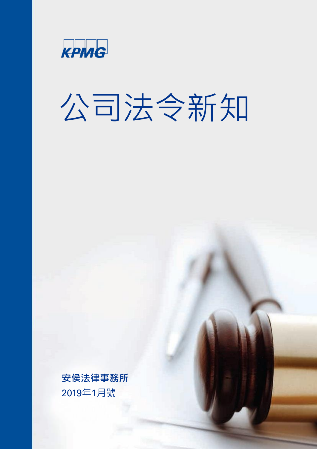

# 公司法令新知

**安侯法律事務所** 2019年1月號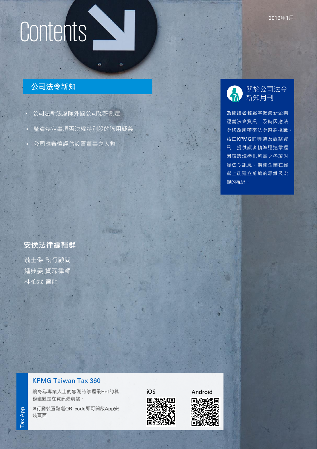# **公司法令新知**

- 公司法新法廢除外國公司認許制度
- 釐清特定事項否決權特別股的適用疑義

 $\alpha$ 

————————————————————<br>公司應審慎評估設置董事之人數

# **安侯法律編輯群** 翁士傑 執行顧問 鍾典晏 資深律師 林柏霖 律師

# 關於公司法令 新知月刊

為使讀者輕鬆掌握最新企業 經營法令資訊,及時因應法 令修改所帶來法令遵循挑戰。 藉由KPMG的導讀及觀察資 **訊,提供讀者精準迅速掌握** 因應環境變化所需之各項財 經法令訊息,期使企業在經 營上能建立前瞻的思維及宏 觀的視野。

# KPMG Taiwan Tax 360

讓身為專業人士的您隨時掌握最Hot的稅 務議題走在資訊最前端。

※行動裝置點選QR code即可開啟App安 裝頁面



KPMG international Cooperative ("KPMG International"), a Swiss entity. All rights reserved. Printed in Taiwan.

**iOS [Android](https://play.google.com/store/apps/details?id=com.kpmg.taiwantax)**



2019年1月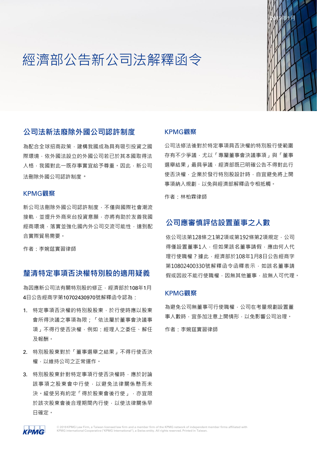# 經濟部公告新公司法解釋函令



# **公司法新法廢除外國公司認許制度**

為配合全球招商政策,建構我國成為具有吸引投資之國 際環境,依外國法設立的外國公司若已於其本國取得法 人格,我國對此一既存事實宜給予尊重。因此,新公司 法刪除外國公司認許制度。

### KPMG**觀察**

新公司法刪除外國公司認許制度,不僅與國際社會潮流 接軌,並提升外商來台投資意願,亦將有助於友善我國 經商環境,落實並強化國內外公司交流可能性,達到配 合實際貿易需要。

作者:李婉莛實習律師

# **釐清特定事項否決權特別股的適用疑義**

為因應新公司法有關特別股的修正,經濟部於108年1月 4日公告經商字第10702430970號解釋函令認為:

- 1. 特定事項否決權的特別股股東,於行使時應以股東 會所得決議之事項為限;「依法屬於董事會決議事 項」不得行使否決權,例如:經理人之委任、解任 及報酬。
- 2. 特別股股東對於「董事選舉之結果」不得行使否決 權,以維持公司之正常運作。
- 3. 特別股股東針對特定事項行使否決權時,應於討論 該事項之股東會中行使,以避免法律關係懸而未 決。縱使另有約定「得於股東會後行使」,亦宜限 於該次股東會後合理期間內行使,以使法律關係早 日確定。

#### KPMG**觀察**

公司法修法後對於特定事項具否決權的特別股行使範圍 存有不少爭議,尤以「專屬董事會決議事項」與「董事 選舉結果」最具爭議,經濟部既已明確公告不得對此行 使否決權,企業於發行特別股設計時,自宜避免將上開 事項納入規劃,以免與經濟部解釋函令相抵觸。

作者:林柏霖律師

# **公司應審慎評估設置董事之人數**

依公司法第128條之1第2項或第192條第2項規定,公司 得僅設置董事1人,但如果該名董事請假,應由何人代 理行使職權?據此,經濟部於108年1月8日公告經商字 第10802400330號解釋函令函釋表示,如該名董事請 假或因故不能行使職權,因無其他董事,故無人可代理。

#### KPMG**觀察**

為避免公司無董事可行使職權,公司在考量規劃設置董 事人數時,宜多加注意上開情形,以免影響公司治理。

作者:李婉莛實習律師